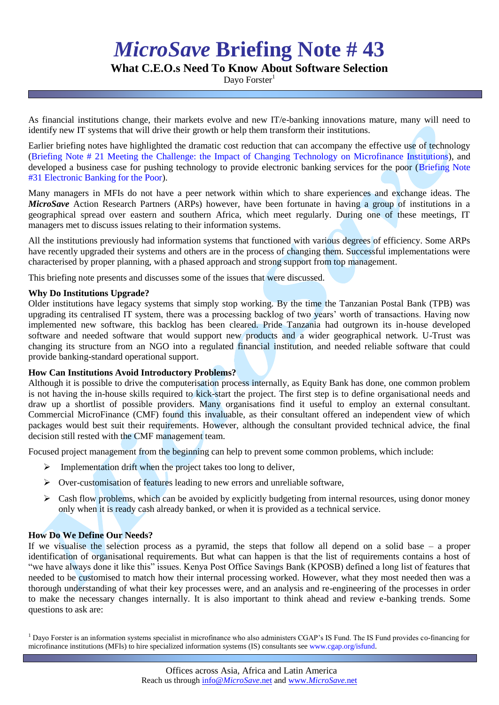# *MicroSave* **Briefing Note # 43**

# **What C.E.O.s Need To Know About Software Selection**

Davo Forster $1$ 

As financial institutions change, their markets evolve and new IT/e-banking innovations mature, many will need to identify new IT systems that will drive their growth or help them transform their institutions.

Earlier briefing notes have highlighted the dramatic cost reduction that can accompany the effective use of technology [\(Briefing Note # 21 Meeting the Challenge: the Impact of Changing Technology on Microfinance Institutions\)](http://www.microsave.org/briefing_notes/bn21-impact-of-changing-technology-on-microfinance), and developed a business case for pushing technology to provide electronic banking services for the poor (Briefing Note [#31 Electronic Banking for the Poor\)](http://www.microsave.org/briefing_notes/briefing-note-31-electronic-banking-for-the-poor).

Many managers in MFIs do not have a peer network within which to share experiences and exchange ideas. The *MicroSave* Action Research Partners (ARPs) however, have been fortunate in having a group of institutions in a geographical spread over eastern and southern Africa, which meet regularly. During one of these meetings, IT managers met to discuss issues relating to their information systems.

All the institutions previously had information systems that functioned with various degrees of efficiency. Some ARPs have recently upgraded their systems and others are in the process of changing them. Successful implementations were characterised by proper planning, with a phased approach and strong support from top management.

This briefing note presents and discusses some of the issues that were discussed.

## **Why Do Institutions Upgrade?**

Older institutions have legacy systems that simply stop working. By the time the Tanzanian Postal Bank (TPB) was upgrading its centralised IT system, there was a processing backlog of two years" worth of transactions. Having now implemented new software, this backlog has been cleared. Pride Tanzania had outgrown its in-house developed software and needed software that would support new products and a wider geographical network. U-Trust was changing its structure from an NGO into a regulated financial institution, and needed reliable software that could provide banking-standard operational support.

## **How Can Institutions Avoid Introductory Problems?**

Although it is possible to drive the computerisation process internally, as Equity Bank has done, one common problem is not having the in-house skills required to kick-start the project. The first step is to define organisational needs and draw up a shortlist of possible providers. Many organisations find it useful to employ an external consultant. Commercial MicroFinance (CMF) found this invaluable, as their consultant offered an independent view of which packages would best suit their requirements. However, although the consultant provided technical advice, the final decision still rested with the CMF management team.

Focused project management from the beginning can help to prevent some common problems, which include:

- $\triangleright$  Implementation drift when the project takes too long to deliver,
- $\triangleright$  Over-customisation of features leading to new errors and unreliable software,
- $\triangleright$  Cash flow problems, which can be avoided by explicitly budgeting from internal resources, using donor money only when it is ready cash already banked, or when it is provided as a technical service.

## **How Do We Define Our Needs?**

If we visualise the selection process as a pyramid, the steps that follow all depend on a solid base – a proper identification of organisational requirements. But what can happen is that the list of requirements contains a host of "we have always done it like this" issues. Kenya Post Office Savings Bank (KPOSB) defined a long list of features that needed to be customised to match how their internal processing worked. However, what they most needed then was a thorough understanding of what their key processes were, and an analysis and re-engineering of the processes in order to make the necessary changes internally. It is also important to think ahead and review e-banking trends. Some questions to ask are:

<sup>1</sup> Dayo Forster is an information systems specialist in microfinance who also administers CGAP's IS Fund. The IS Fund provides co-financing for microfinance institutions (MFIs) to hire specialized information systems (IS) consultants se[e www.cgap.org/isfund.](http://www.cgap.org/isfund)